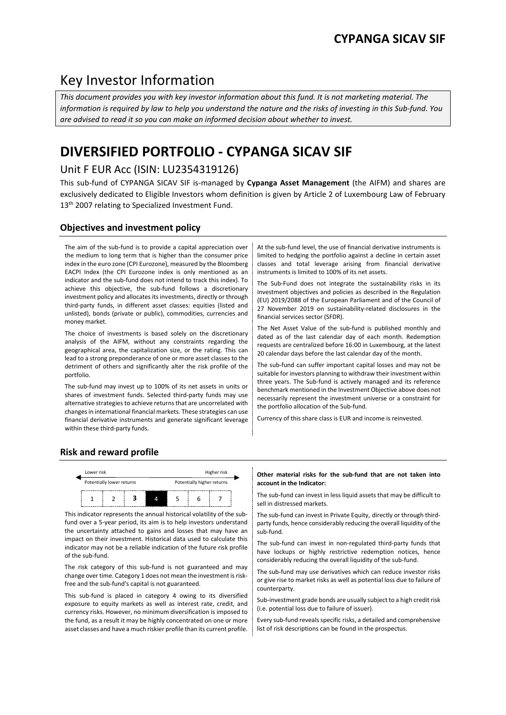# Key Investor Information

*This document provides you with key investor information about this fund. It is not marketing material. The information is required by law to help you understand the nature and the risks of investing in this Sub-fund. You are advised to read it so you can make an informed decision about whether to invest.*

# **DIVERSIFIED PORTFOLIO - CYPANGA SICAV SIF**

## Unit F EUR Acc (ISIN: LU2354319126)

This sub-fund of CYPANGA SICAV SIF is-managed by **Cypanga Asset Management** (the AIFM) and shares are exclusively dedicated to Eligible Investors whom definition is given by Article 2 of Luxembourg Law of February 13<sup>th</sup> 2007 relating to Specialized Investment Fund.

## **Objectives and investment policy**

The aim of the sub-fund is to provide a capital appreciation over the medium to long term that is higher than the consumer price index in the euro zone (CPI Eurozone), measured by the Bloomberg EACPI Index (the CPI Eurozone index is only mentioned as an indicator and the sub-fund does not intend to track this index). To achieve this objective, the sub-fund follows a discretionary investment policy and allocates its investments, directly or through third-party funds, in different asset classes: equities (listed and unlisted), bonds (private or public), commodities, currencies and money market.

The choice of investments is based solely on the discretionary analysis of the AIFM, without any constraints regarding the geographical area, the capitalization size, or the rating. This can lead to a strong preponderance of one or more asset classes to the detriment of others and significantly alter the risk profile of the portfolio.

The sub-fund may invest up to 100% of its net assets in units or shares of investment funds. Selected third-party funds may use alternative strategies to achieve returns that are uncorrelated with changes in international financial markets. These strategies can use financial derivative instruments and generate significant leverage within these third-party funds.

At the sub-fund level, the use of financial derivative instruments is limited to hedging the portfolio against a decline in certain asset classes and total leverage arising from financial derivative instruments is limited to 100% of its net assets.

The Sub-Fund does not integrate the sustainability risks in its investment objectives and policies as described in the Regulation (EU) 2019/2088 of the European Parliament and of the Council of 27 November 2019 on sustainability-related disclosures in the financial services sector (SFDR).

The Net Asset Value of the sub-fund is published monthly and dated as of the last calendar day of each month. Redemption requests are centralized before 16:00 in Luxembourg, at the latest 20 calendar days before the last calendar day of the month.

The sub-fund can suffer important capital losses and may not be suitable for investors planning to withdraw their investment within three years. The Sub-fund is actively managed and its reference benchmark mentioned in the Investment Objective above does not necessarily represent the investment universe or a constraint for the portfolio allocation of the Sub-fund.

Currency of this share class is EUR and income is reinvested.

## **Risk and reward profile**



This indicator represents the annual historical volatility of the subfund over a 5-year period, its aim is to help investors understand the uncertainty attached to gains and losses that may have an impact on their investment. Historical data used to calculate this indicator may not be a reliable indication of the future risk profile of the sub-fund.

The risk category of this sub-fund is not guaranteed and may change over time. Category 1 does not mean the investment is riskfree and the sub-fund's capital is not guaranteed.

This sub-fund is placed in category 4 owing to its diversified exposure to equity markets as well as interest rate, credit, and currency risks. However, no minimum diversification is imposed to the fund, as a result it may be highly concentrated on one or more asset classes and have a much riskier profile than its current profile.

### **Other material risks for the sub-fund that are not taken into account in the Indicator:**

 $\frac{1}{1}$   $\frac{1}{2}$   $\frac{1}{3}$   $\frac{1}{4}$   $\frac{1}{5}$   $\frac{1}{6}$   $\frac{1}{7}$  The sub-fund can invest in less liquid assets that may be difficult to sell in distressed markets.

> The sub-fund can invest in Private Equity, directly or through thirdparty funds, hence considerably reducing the overall liquidity of the sub-fund.

> The sub-fund can invest in non-regulated third-party funds that have lockups or highly restrictive redemption notices, hence considerably reducing the overall liquidity of the sub-fund.

> The sub-fund may use derivatives which can reduce investor risks or give rise to market risks as well as potential loss due to failure of counterparty.

> Sub-investment grade bonds are usually subject to a high credit risk (i.e. potential loss due to failure of issuer).

> Every sub-fund reveals specific risks, a detailed and comprehensive list of risk descriptions can be found in the prospectus.